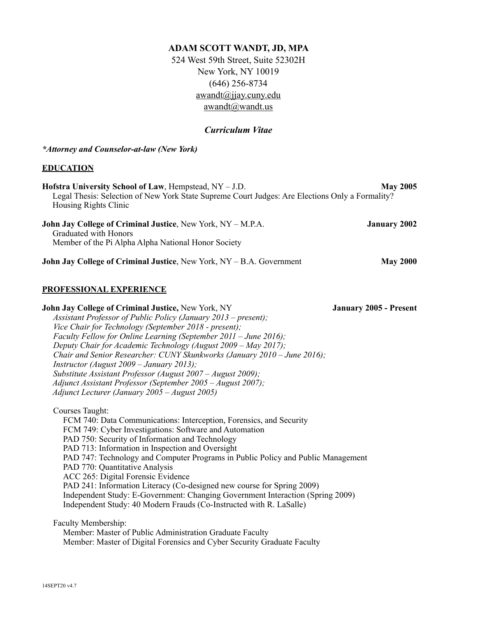# **ADAM SCOTT WANDT, JD, MPA**

524 West 59th Street, Suite 52302H New York, NY 10019 (646) 256-8734 awandt@jjay.cuny.edu awandt@wandt.us

## *Curriculum Vitae*

#### *\*Attorney and Counselor-at-law (New York)*

#### **EDUCATION**

| Hofstra University School of Law, Hempstead, NY – J.D.                                                                                             | <b>May 2005</b>     |
|----------------------------------------------------------------------------------------------------------------------------------------------------|---------------------|
| Legal Thesis: Selection of New York State Supreme Court Judges: Are Elections Only a Formality?<br>Housing Rights Clinic                           |                     |
| <b>John Jay College of Criminal Justice, New York, NY – M.P.A.</b><br>Graduated with Honors<br>Member of the Pi Alpha Alpha National Honor Society | <b>January 2002</b> |
| John Jay College of Criminal Justice, New York, NY - B.A. Government                                                                               | <b>May 2000</b>     |

## **PROFESSIONAL EXPERIENCE**

**John Jay College of Criminal Justice,** New York, NY **January 2005 - Present** *Assistant Professor of Public Policy (January 2013 – present); Vice Chair for Technology (September 2018 - present); Faculty Fellow for Online Learning (September 2011 – June 2016); Deputy Chair for Academic Technology (August 2009 – May 2017); Chair and Senior Researcher: CUNY Skunkworks (January 2010 – June 2016); Instructor (August 2009 – January 2013); Substitute Assistant Professor (August 2007 – August 2009); Adjunct Assistant Professor (September 2005 – August 2007); Adjunct Lecturer (January 2005 – August 2005)* 

Courses Taught:

 FCM 740: Data Communications: Interception, Forensics, and Security FCM 749: Cyber Investigations: Software and Automation PAD 750: Security of Information and Technology PAD 713: Information in Inspection and Oversight PAD 747: Technology and Computer Programs in Public Policy and Public Management PAD 770: Quantitative Analysis ACC 265: Digital Forensic Evidence PAD 241: Information Literacy (Co-designed new course for Spring 2009) Independent Study: E-Government: Changing Government Interaction (Spring 2009) Independent Study: 40 Modern Frauds (Co-Instructed with R. LaSalle)

Faculty Membership:

 Member: Master of Public Administration Graduate Faculty Member: Master of Digital Forensics and Cyber Security Graduate Faculty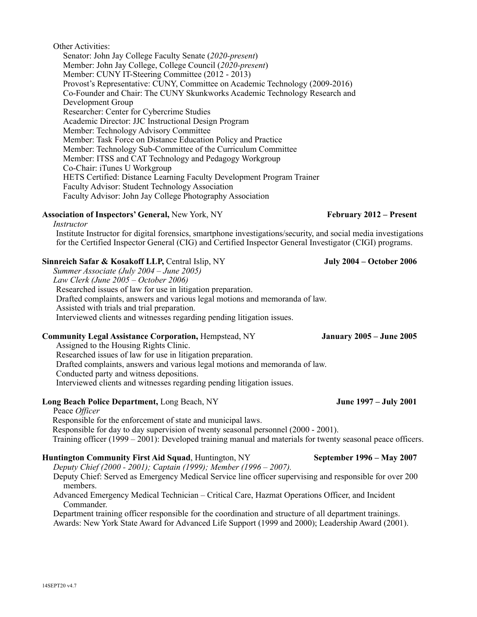#### Other Activities:

*Instructor* 

Senator: John Jay College Faculty Senate (*2020-present*) Member: John Jay College, College Council (*2020-present*) Member: CUNY IT-Steering Committee (2012 - 2013) Provost's Representative: CUNY, Committee on Academic Technology (2009-2016) Co-Founder and Chair: The CUNY Skunkworks Academic Technology Research and Development Group Researcher: Center for Cybercrime Studies Academic Director: JJC Instructional Design Program Member: Technology Advisory Committee Member: Task Force on Distance Education Policy and Practice Member: Technology Sub-Committee of the Curriculum Committee Member: ITSS and CAT Technology and Pedagogy Workgroup Co-Chair: iTunes U Workgroup HETS Certified: Distance Learning Faculty Development Program Trainer Faculty Advisor: Student Technology Association Faculty Advisor: John Jay College Photography Association

### Association of Inspectors' General, New York, NY February 2012 – Present

Institute Instructor for digital forensics, smartphone investigations/security, and social media investigations for the Certified Inspector General (CIG) and Certified Inspector General Investigator (CIGI) programs.

#### **Sinnreich Safar & Kosakoff LLP, Central Islip, NY** July 2004 – October 2006

*Summer Associate (July 2004 – June 2005) Law Clerk (June 2005 – October 2006)*  Researched issues of law for use in litigation preparation. Drafted complaints, answers and various legal motions and memoranda of law. Assisted with trials and trial preparation. Interviewed clients and witnesses regarding pending litigation issues.

## **Community Legal Assistance Corporation,** Hempstead, NY **January 2005 – June 2005**

Assigned to the Housing Rights Clinic.

Researched issues of law for use in litigation preparation. Drafted complaints, answers and various legal motions and memoranda of law. Conducted party and witness depositions. Interviewed clients and witnesses regarding pending litigation issues.

#### **Long Beach Police Department,** Long Beach, NY **June 1997 – July 2001**

 Peace *Officer*  Responsible for the enforcement of state and municipal laws. Responsible for day to day supervision of twenty seasonal personnel (2000 - 2001). Training officer (1999 – 2001): Developed training manual and materials for twenty seasonal peace officers.

#### **Huntington Community First Aid Squad, Huntington, NY** September 1996 – May 2007

*Deputy Chief (2000 - 2001); Captain (1999); Member (1996 – 2007).* 

Deputy Chief: Served as Emergency Medical Service line officer supervising and responsible for over 200 members.

 Advanced Emergency Medical Technician – Critical Care, Hazmat Operations Officer, and Incident Commander.

 Department training officer responsible for the coordination and structure of all department trainings. Awards: New York State Award for Advanced Life Support (1999 and 2000); Leadership Award (2001).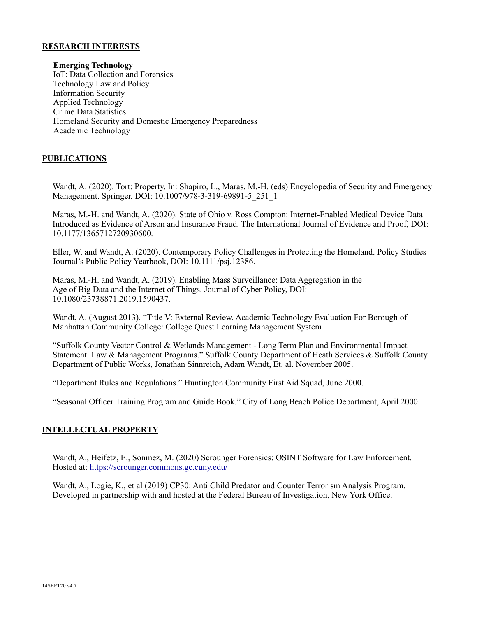#### **RESEARCH INTERESTS**

**Emerging Technology** IoT: Data Collection and Forensics Technology Law and Policy Information Security Applied Technology Crime Data Statistics Homeland Security and Domestic Emergency Preparedness Academic Technology

## **PUBLICATIONS**

Wandt, A. (2020). Tort: Property. In: Shapiro, L., Maras, M.-H. (eds) Encyclopedia of Security and Emergency Management. Springer. DOI: 10.1007/978-3-319-69891-5\_251\_1

Maras, M.-H. and Wandt, A. (2020). State of Ohio v. Ross Compton: Internet-Enabled Medical Device Data Introduced as Evidence of Arson and Insurance Fraud. The International Journal of Evidence and Proof, DOI: 10.1177/1365712720930600.

Eller, W. and Wandt, A. (2020). Contemporary Policy Challenges in Protecting the Homeland. Policy Studies Journal's Public Policy Yearbook, DOI: 10.1111/psj.12386.

Maras, M.-H. and Wandt, A. (2019). Enabling Mass Surveillance: Data Aggregation in the Age of Big Data and the Internet of Things. Journal of Cyber Policy, DOI: 10.1080/23738871.2019.1590437.

Wandt, A. (August 2013). "Title V: External Review. Academic Technology Evaluation For Borough of Manhattan Community College: College Quest Learning Management System

"Suffolk County Vector Control & Wetlands Management - Long Term Plan and Environmental Impact Statement: Law & Management Programs." Suffolk County Department of Heath Services & Suffolk County Department of Public Works, Jonathan Sinnreich, Adam Wandt, Et. al. November 2005.

"Department Rules and Regulations." Huntington Community First Aid Squad, June 2000.

"Seasonal Officer Training Program and Guide Book." City of Long Beach Police Department, April 2000.

### **INTELLECTUAL PROPERTY**

Wandt, A., Heifetz, E., Sonmez, M. (2020) Scrounger Forensics: OSINT Software for Law Enforcement. Hosted at:<https://scrounger.commons.gc.cuny.edu/>

Wandt, A., Logie, K., et al (2019) CP30: Anti Child Predator and Counter Terrorism Analysis Program. Developed in partnership with and hosted at the Federal Bureau of Investigation, New York Office.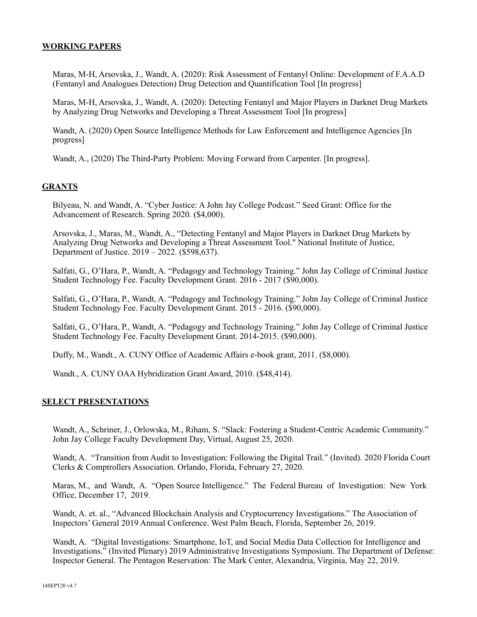### **WORKING PAPERS**

Maras, M-H, Arsovska, J., Wandt, A. (2020): Risk Assessment of Fentanyl Online: Development of F.A.A.D (Fentanyl and Analogues Detection) Drug Detection and Quantification Tool [In progress]

Maras, M-H, Arsovska, J., Wandt, A. (2020): Detecting Fentanyl and Major Players in Darknet Drug Markets by Analyzing Drug Networks and Developing a Threat Assessment Tool [In progress]

Wandt, A. (2020) Open Source Intelligence Methods for Law Enforcement and Intelligence Agencies [In progress]

Wandt, A., (2020) The Third-Party Problem: Moving Forward from Carpenter. [In progress].

### **GRANTS**

Bilyeau, N. and Wandt, A. "Cyber Justice: A John Jay College Podcast." Seed Grant: Office for the Advancement of Research. Spring 2020. (\$4,000).

Arsovska, J., Maras, M., Wandt, A., "Detecting Fentanyl and Major Players in Darknet Drug Markets by Analyzing Drug Networks and Developing a Threat Assessment Tool." National Institute of Justice, Department of Justice. 2019 – 2022. (\$598,637).

Salfati, G., O'Hara, P., Wandt, A. "Pedagogy and Technology Training." John Jay College of Criminal Justice Student Technology Fee. Faculty Development Grant. 2016 - 2017 (\$90,000).

Salfati, G., O'Hara, P., Wandt, A. "Pedagogy and Technology Training." John Jay College of Criminal Justice Student Technology Fee. Faculty Development Grant. 2015 - 2016. (\$90,000).

Salfati, G., O'Hara, P., Wandt, A. "Pedagogy and Technology Training." John Jay College of Criminal Justice Student Technology Fee. Faculty Development Grant. 2014-2015. (\$90,000).

Duffy, M., Wandt., A. CUNY Office of Academic Affairs e-book grant, 2011. (\$8,000).

Wandt., A. CUNY OAA Hybridization Grant Award, 2010. (\$48,414).

#### **SELECT PRESENTATIONS**

Wandt, A., Schriner, J., Orlowska, M., Riham, S. "Slack: Fostering a Student-Centric Academic Community." John Jay College Faculty Development Day, Virtual, August 25, 2020.

Wandt, A. "Transition from Audit to Investigation: Following the Digital Trail." (Invited). 2020 Florida Court Clerks & Comptrollers Association. Orlando, Florida, February 27, 2020.

Maras, M., and Wandt, A. "Open Source Intelligence." The Federal Bureau of Investigation: New York Office, December 17, 2019.

Wandt, A. et. al., "Advanced Blockchain Analysis and Cryptocurrency Investigations." The Association of Inspectors' General 2019 Annual Conference. West Palm Beach, Florida, September 26, 2019.

Wandt, A. "Digital Investigations: Smartphone, IoT, and Social Media Data Collection for Intelligence and Investigations." (Invited Plenary) 2019 Administrative Investigations Symposium. The Department of Defense: Inspector General. The Pentagon Reservation: The Mark Center, Alexandria, Virginia, May 22, 2019.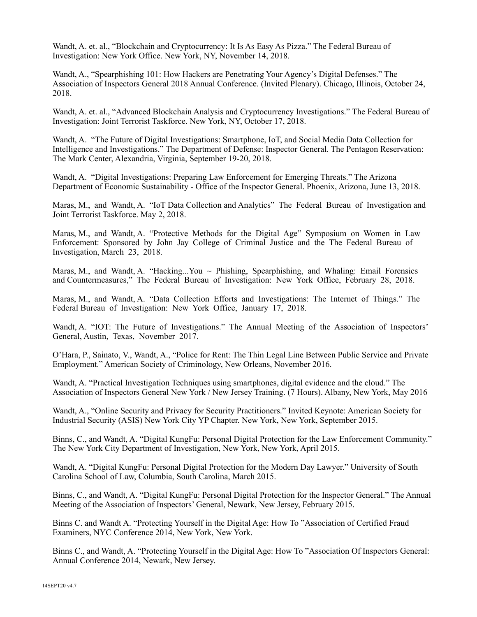Wandt, A. et. al., "Blockchain and Cryptocurrency: It Is As Easy As Pizza." The Federal Bureau of Investigation: New York Office. New York, NY, November 14, 2018.

Wandt, A., "Spearphishing 101: How Hackers are Penetrating Your Agency's Digital Defenses." The Association of Inspectors General 2018 Annual Conference. (Invited Plenary). Chicago, Illinois, October 24, 2018.

Wandt, A. et. al., "Advanced Blockchain Analysis and Cryptocurrency Investigations." The Federal Bureau of Investigation: Joint Terrorist Taskforce. New York, NY, October 17, 2018.

Wandt, A. "The Future of Digital Investigations: Smartphone, IoT, and Social Media Data Collection for Intelligence and Investigations." The Department of Defense: Inspector General. The Pentagon Reservation: The Mark Center, Alexandria, Virginia, September 19-20, 2018.

Wandt, A. "Digital Investigations: Preparing Law Enforcement for Emerging Threats." The Arizona Department of Economic Sustainability - Office of the Inspector General. Phoenix, Arizona, June 13, 2018.

Maras, M., and Wandt, A. "IoT Data Collection and Analytics" The Federal Bureau of Investigation and Joint Terrorist Taskforce. May 2, 2018.

Maras, M., and Wandt, A. "Protective Methods for the Digital Age" Symposium on Women in Law Enforcement: Sponsored by John Jay College of Criminal Justice and the The Federal Bureau of Investigation, March 23, 2018.

Maras, M., and Wandt, A. "Hacking...You  $\sim$  Phishing, Spearphishing, and Whaling: Email Forensics and Countermeasures," The Federal Bureau of Investigation: New York Office, February 28, 2018.

Maras, M., and Wandt, A. "Data Collection Efforts and Investigations: The Internet of Things." The Federal Bureau of Investigation: New York Office, January 17, 2018.

Wandt, A. "IOT: The Future of Investigations." The Annual Meeting of the Association of Inspectors' General, Austin, Texas, November 2017.

O'Hara, P., Sainato, V., Wandt, A., "Police for Rent: The Thin Legal Line Between Public Service and Private Employment." American Society of Criminology, New Orleans, November 2016.

Wandt, A. "Practical Investigation Techniques using smartphones, digital evidence and the cloud." The Association of Inspectors General New York / New Jersey Training. (7 Hours). Albany, New York, May 2016

Wandt, A., "Online Security and Privacy for Security Practitioners." Invited Keynote: American Society for Industrial Security (ASIS) New York City YP Chapter. New York, New York, September 2015.

Binns, C., and Wandt, A. "Digital KungFu: Personal Digital Protection for the Law Enforcement Community." The New York City Department of Investigation, New York, New York, April 2015.

Wandt, A. "Digital KungFu: Personal Digital Protection for the Modern Day Lawyer." University of South Carolina School of Law, Columbia, South Carolina, March 2015.

Binns, C., and Wandt, A. "Digital KungFu: Personal Digital Protection for the Inspector General." The Annual Meeting of the Association of Inspectors' General, Newark, New Jersey, February 2015.

Binns C. and Wandt A. "Protecting Yourself in the Digital Age: How To "Association of Certified Fraud Examiners, NYC Conference 2014, New York, New York.

Binns C., and Wandt, A. "Protecting Yourself in the Digital Age: How To "Association Of Inspectors General: Annual Conference 2014, Newark, New Jersey.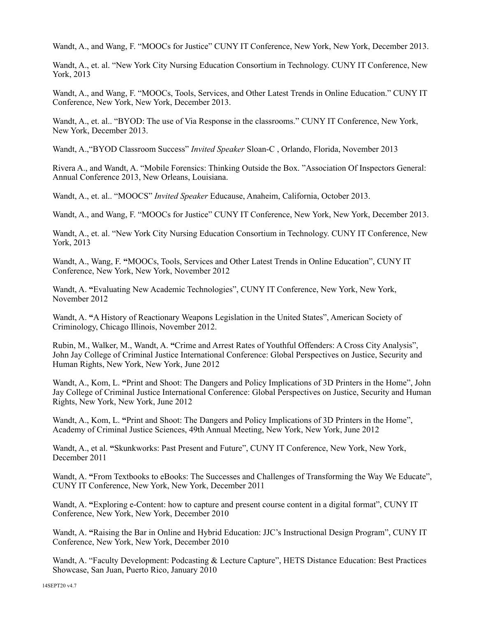Wandt, A., and Wang, F. "MOOCs for Justice" CUNY IT Conference, New York, New York, December 2013.

Wandt, A., et. al. "New York City Nursing Education Consortium in Technology. CUNY IT Conference, New York, 2013

Wandt, A., and Wang, F. "MOOCs, Tools, Services, and Other Latest Trends in Online Education." CUNY IT Conference, New York, New York, December 2013.

Wandt, A., et. al.. "BYOD: The use of Via Response in the classrooms." CUNY IT Conference, New York, New York, December 2013.

Wandt, A.,"BYOD Classroom Success" *Invited Speaker* Sloan-C , Orlando, Florida, November 2013

Rivera A., and Wandt, A. "Mobile Forensics: Thinking Outside the Box. "Association Of Inspectors General: Annual Conference 2013, New Orleans, Louisiana.

Wandt, A., et. al.. "MOOCS" *Invited Speaker* Educause, Anaheim, California, October 2013.

Wandt, A., and Wang, F. "MOOCs for Justice" CUNY IT Conference, New York, New York, December 2013.

Wandt, A., et. al. "New York City Nursing Education Consortium in Technology. CUNY IT Conference, New York, 2013

Wandt, A., Wang, F. **"**MOOCs, Tools, Services and Other Latest Trends in Online Education", CUNY IT Conference, New York, New York, November 2012

 Wandt, A. **"**Evaluating New Academic Technologies", CUNY IT Conference, New York, New York, November 2012

Wandt, A. **"**A History of Reactionary Weapons Legislation in the United States", American Society of Criminology, Chicago Illinois, November 2012.

Rubin, M., Walker, M., Wandt, A. **"**Crime and Arrest Rates of Youthful Offenders: A Cross City Analysis", John Jay College of Criminal Justice International Conference: Global Perspectives on Justice, Security and Human Rights, New York, New York, June 2012

 Wandt, A., Kom, L. **"**Print and Shoot: The Dangers and Policy Implications of 3D Printers in the Home", John Jay College of Criminal Justice International Conference: Global Perspectives on Justice, Security and Human Rights, New York, New York, June 2012

 Wandt, A., Kom, L. **"**Print and Shoot: The Dangers and Policy Implications of 3D Printers in the Home", Academy of Criminal Justice Sciences, 49th Annual Meeting, New York, New York, June 2012

 Wandt, A., et al. **"**Skunkworks: Past Present and Future", CUNY IT Conference, New York, New York, December 2011

Wandt, A. "From Textbooks to eBooks: The Successes and Challenges of Transforming the Way We Educate", CUNY IT Conference, New York, New York, December 2011

Wandt, A. **"**Exploring e-Content: how to capture and present course content in a digital format", CUNY IT Conference, New York, New York, December 2010

Wandt, A. **"**Raising the Bar in Online and Hybrid Education: JJC's Instructional Design Program", CUNY IT Conference, New York, New York, December 2010

Wandt, A. "Faculty Development: Podcasting & Lecture Capture", HETS Distance Education: Best Practices Showcase, San Juan, Puerto Rico, January 2010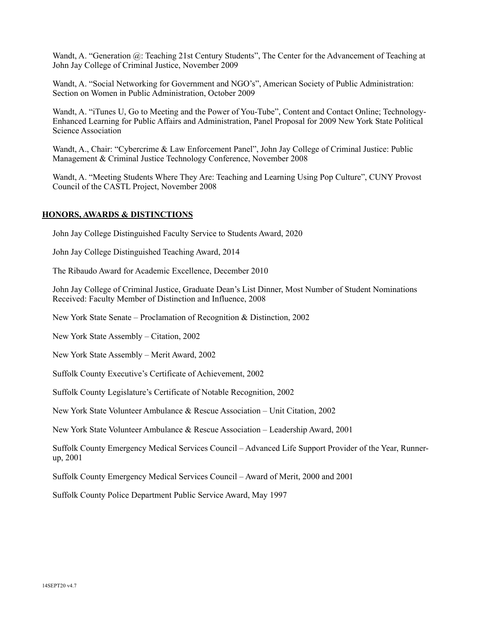Wandt, A. "Generation @: Teaching 21st Century Students", The Center for the Advancement of Teaching at John Jay College of Criminal Justice, November 2009

Wandt, A. "Social Networking for Government and NGO's", American Society of Public Administration: Section on Women in Public Administration, October 2009

Wandt, A. "iTunes U, Go to Meeting and the Power of You-Tube", Content and Contact Online; Technology-Enhanced Learning for Public Affairs and Administration, Panel Proposal for 2009 New York State Political Science Association

Wandt, A., Chair: "Cybercrime & Law Enforcement Panel", John Jay College of Criminal Justice: Public Management & Criminal Justice Technology Conference, November 2008

Wandt, A. "Meeting Students Where They Are: Teaching and Learning Using Pop Culture", CUNY Provost Council of the CASTL Project, November 2008

### **HONORS, AWARDS & DISTINCTIONS**

John Jay College Distinguished Faculty Service to Students Award, 2020

John Jay College Distinguished Teaching Award, 2014

The Ribaudo Award for Academic Excellence, December 2010

John Jay College of Criminal Justice, Graduate Dean's List Dinner, Most Number of Student Nominations Received: Faculty Member of Distinction and Influence, 2008

New York State Senate – Proclamation of Recognition & Distinction, 2002

New York State Assembly – Citation, 2002

New York State Assembly – Merit Award, 2002

Suffolk County Executive's Certificate of Achievement, 2002

Suffolk County Legislature's Certificate of Notable Recognition, 2002

New York State Volunteer Ambulance & Rescue Association – Unit Citation, 2002

New York State Volunteer Ambulance & Rescue Association – Leadership Award, 2001

Suffolk County Emergency Medical Services Council – Advanced Life Support Provider of the Year, Runnerup, 2001

Suffolk County Emergency Medical Services Council – Award of Merit, 2000 and 2001

Suffolk County Police Department Public Service Award, May 1997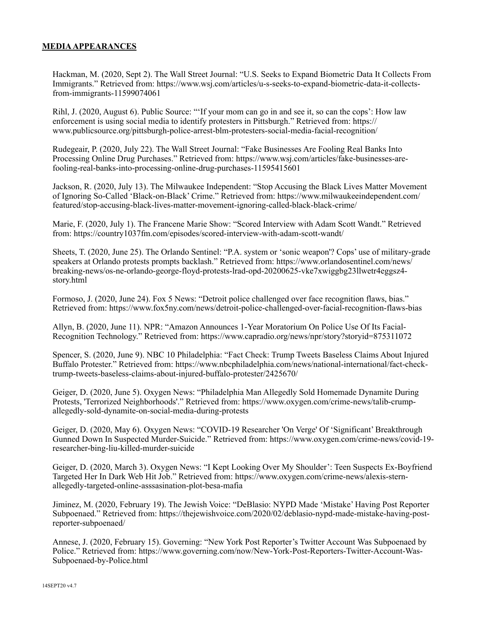### **MEDIA APPEARANCES**

Hackman, M. (2020, Sept 2). The Wall Street Journal: "U.S. Seeks to Expand Biometric Data It Collects From Immigrants." Retrieved from: https://www.wsj.com/articles/u-s-seeks-to-expand-biometric-data-it-collectsfrom-immigrants-11599074061

Rihl, J. (2020, August 6). Public Source: "'If your mom can go in and see it, so can the cops': How law enforcement is using social media to identify protesters in Pittsburgh." Retrieved from: https:// www.publicsource.org/pittsburgh-police-arrest-blm-protesters-social-media-facial-recognition/

Rudegeair, P. (2020, July 22). The Wall Street Journal: "Fake Businesses Are Fooling Real Banks Into Processing Online Drug Purchases." Retrieved from: https://www.wsj.com/articles/fake-businesses-arefooling-real-banks-into-processing-online-drug-purchases-11595415601

Jackson, R. (2020, July 13). The Milwaukee Independent: "Stop Accusing the Black Lives Matter Movement of Ignoring So-Called 'Black-on-Black' Crime." Retrieved from: https://www.milwaukeeindependent.com/ featured/stop-accusing-black-lives-matter-movement-ignoring-called-black-black-crime/

Marie, F. (2020, July 1). The Francene Marie Show: "Scored Interview with Adam Scott Wandt." Retrieved from: https://country1037fm.com/episodes/scored-interview-with-adam-scott-wandt/

Sheets, T. (2020, June 25). The Orlando Sentinel: "P.A. system or 'sonic weapon'? Cops' use of military-grade speakers at Orlando protests prompts backlash." Retrieved from: https://www.orlandosentinel.com/news/ breaking-news/os-ne-orlando-george-floyd-protests-lrad-opd-20200625-vke7xwiggbg23llwetr4eggsz4 story.html

Formoso, J. (2020, June 24). Fox 5 News: "Detroit police challenged over face recognition flaws, bias." Retrieved from: https://www.fox5ny.com/news/detroit-police-challenged-over-facial-recognition-flaws-bias

Allyn, B. (2020, June 11). NPR: "Amazon Announces 1-Year Moratorium On Police Use Of Its Facial-Recognition Technology." Retrieved from: https://www.capradio.org/news/npr/story?storyid=875311072

Spencer, S. (2020, June 9). NBC 10 Philadelphia: "Fact Check: Trump Tweets Baseless Claims About Injured Buffalo Protester." Retrieved from: https://www.nbcphiladelphia.com/news/national-international/fact-checktrump-tweets-baseless-claims-about-injured-buffalo-protester/2425670/

Geiger, D. (2020, June 5). Oxygen News: "Philadelphia Man Allegedly Sold Homemade Dynamite During Protests, 'Terrorized Neighborhoods'." Retrieved from: https://www.oxygen.com/crime-news/talib-crumpallegedly-sold-dynamite-on-social-media-during-protests

Geiger, D. (2020, May 6). Oxygen News: "COVID-19 Researcher 'On Verge' Of 'Significant' Breakthrough Gunned Down In Suspected Murder-Suicide." Retrieved from: https://www.oxygen.com/crime-news/covid-19 researcher-bing-liu-killed-murder-suicide

Geiger, D. (2020, March 3). Oxygen News: "I Kept Looking Over My Shoulder': Teen Suspects Ex-Boyfriend Targeted Her In Dark Web Hit Job." Retrieved from: https://www.oxygen.com/crime-news/alexis-sternallegedly-targeted-online-asssasination-plot-besa-mafia

Jiminez, M. (2020, February 19). The Jewish Voice: "DeBlasio: NYPD Made 'Mistake' Having Post Reporter Subpoenaed." Retrieved from: https://thejewishvoice.com/2020/02/deblasio-nypd-made-mistake-having-postreporter-subpoenaed/

Annese, J. (2020, February 15). Governing: "New York Post Reporter's Twitter Account Was Subpoenaed by Police." Retrieved from: https://www.governing.com/now/New-York-Post-Reporters-Twitter-Account-Was-Subpoenaed-by-Police.html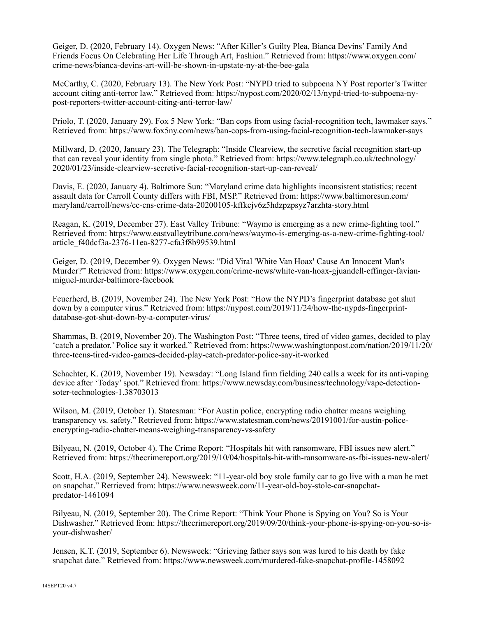Geiger, D. (2020, February 14). Oxygen News: "After Killer's Guilty Plea, Bianca Devins' Family And Friends Focus On Celebrating Her Life Through Art, Fashion." Retrieved from: https://www.oxygen.com/ crime-news/bianca-devins-art-will-be-shown-in-upstate-ny-at-the-bee-gala

McCarthy, C. (2020, February 13). The New York Post: "NYPD tried to subpoena NY Post reporter's Twitter account citing anti-terror law." Retrieved from: https://nypost.com/2020/02/13/nypd-tried-to-subpoena-nypost-reporters-twitter-account-citing-anti-terror-law/

Priolo, T. (2020, January 29). Fox 5 New York: "Ban cops from using facial-recognition tech, lawmaker says." Retrieved from: https://www.fox5ny.com/news/ban-cops-from-using-facial-recognition-tech-lawmaker-says

Millward, D. (2020, January 23). The Telegraph: "Inside Clearview, the secretive facial recognition start-up that can reveal your identity from single photo." Retrieved from: https://www.telegraph.co.uk/technology/ 2020/01/23/inside-clearview-secretive-facial-recognition-start-up-can-reveal/

Davis, E. (2020, January 4). Baltimore Sun: "Maryland crime data highlights inconsistent statistics; recent assault data for Carroll County differs with FBI, MSP." Retrieved from: https://www.baltimoresun.com/ maryland/carroll/news/cc-cns-crime-data-20200105-kffkcjv6z5hdzpzpsyz7arzhta-story.html

Reagan, K. (2019, December 27). East Valley Tribune: "Waymo is emerging as a new crime-fighting tool." Retrieved from: https://www.eastvalleytribune.com/news/waymo-is-emerging-as-a-new-crime-fighting-tool/ article\_f40dcf3a-2376-11ea-8277-cfa3f8b99539.html

Geiger, D. (2019, December 9). Oxygen News: "Did Viral 'White Van Hoax' Cause An Innocent Man's Murder?" Retrieved from: https://www.oxygen.com/crime-news/white-van-hoax-gjuandell-effinger-favianmiguel-murder-baltimore-facebook

Feuerherd, B. (2019, November 24). The New York Post: "How the NYPD's fingerprint database got shut down by a computer virus." Retrieved from: https://nypost.com/2019/11/24/how-the-nypds-fingerprintdatabase-got-shut-down-by-a-computer-virus/

Shammas, B. (2019, November 20). The Washington Post: "Three teens, tired of video games, decided to play 'catch a predator.' Police say it worked." Retrieved from: https://www.washingtonpost.com/nation/2019/11/20/ three-teens-tired-video-games-decided-play-catch-predator-police-say-it-worked

Schachter, K. (2019, November 19). Newsday: "Long Island firm fielding 240 calls a week for its anti-vaping device after 'Today' spot." Retrieved from: https://www.newsday.com/business/technology/vape-detectionsoter-technologies-1.38703013

Wilson, M. (2019, October 1). Statesman: "For Austin police, encrypting radio chatter means weighing transparency vs. safety." Retrieved from: https://www.statesman.com/news/20191001/for-austin-policeencrypting-radio-chatter-means-weighing-transparency-vs-safety

Bilyeau, N. (2019, October 4). The Crime Report: "Hospitals hit with ransomware, FBI issues new alert." Retrieved from: https://thecrimereport.org/2019/10/04/hospitals-hit-with-ransomware-as-fbi-issues-new-alert/

Scott, H.A. (2019, September 24). Newsweek: "11-year-old boy stole family car to go live with a man he met on snapchat." Retrieved from: https://www.newsweek.com/11-year-old-boy-stole-car-snapchatpredator-1461094

Bilyeau, N. (2019, September 20). The Crime Report: "Think Your Phone is Spying on You? So is Your Dishwasher." Retrieved from: https://thecrimereport.org/2019/09/20/think-your-phone-is-spying-on-you-so-isyour-dishwasher/

Jensen, K.T. (2019, September 6). Newsweek: "Grieving father says son was lured to his death by fake snapchat date." Retrieved from: https://www.newsweek.com/murdered-fake-snapchat-profile-1458092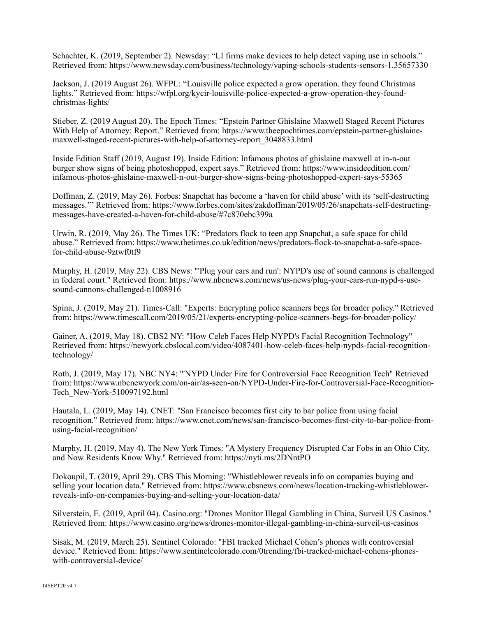Schachter, K. (2019, September 2). Newsday: "LI firms make devices to help detect vaping use in schools." Retrieved from: https://www.newsday.com/business/technology/vaping-schools-students-sensors-1.35657330

Jackson, J. (2019 August 26). WFPL: "Louisville police expected a grow operation. they found Christmas lights." Retrieved from: https://wfpl.org/kycir-louisville-police-expected-a-grow-operation-they-foundchristmas-lights/

Stieber, Z. (2019 August 20). The Epoch Times: "Epstein Partner Ghislaine Maxwell Staged Recent Pictures With Help of Attorney: Report." Retrieved from: https://www.theepochtimes.com/epstein-partner-ghislainemaxwell-staged-recent-pictures-with-help-of-attorney-report\_3048833.html

Inside Edition Staff (2019, August 19). Inside Edition: Infamous photos of ghislaine maxwell at in-n-out burger show signs of being photoshopped, expert says." Retrieved from: https://www.insideedition.com/ infamous-photos-ghislaine-maxwell-n-out-burger-show-signs-being-photoshopped-expert-says-55365

Doffman, Z. (2019, May 26). Forbes: Snapchat has become a 'haven for child abuse' with its 'self-destructing messages.'" Retrieved from: https://www.forbes.com/sites/zakdoffman/2019/05/26/snapchats-self-destructingmessages-have-created-a-haven-for-child-abuse/#7c870ebc399a

Urwin, R. (2019, May 26). The Times UK: "Predators flock to teen app Snapchat, a safe space for child abuse." Retrieved from: https://www.thetimes.co.uk/edition/news/predators-flock-to-snapchat-a-safe-spacefor-child-abuse-9ztwf0tf9

Murphy, H. (2019, May 22). CBS News: "'Plug your ears and run': NYPD's use of sound cannons is challenged in federal court." Retrieved from: https://www.nbcnews.com/news/us-news/plug-your-ears-run-nypd-s-usesound-cannons-challenged-n1008916

Spina, J. (2019, May 21). Times-Call: "Experts: Encrypting police scanners begs for broader policy." Retrieved from: https://www.timescall.com/2019/05/21/experts-encrypting-police-scanners-begs-for-broader-policy/

Gainer, A. (2019, May 18). CBS2 NY: "How Celeb Faces Help NYPD's Facial Recognition Technology" Retrieved from: https://newyork.cbslocal.com/video/4087401-how-celeb-faces-help-nypds-facial-recognitiontechnology/

Roth, J. (2019, May 17). NBC NY4: "'NYPD Under Fire for Controversial Face Recognition Tech" Retrieved from: https://www.nbcnewyork.com/on-air/as-seen-on/NYPD-Under-Fire-for-Controversial-Face-Recognition-Tech\_New-York-510097192.html

Hautala, L. (2019, May 14). CNET: "San Francisco becomes first city to bar police from using facial recognition." Retrieved from: https://www.cnet.com/news/san-francisco-becomes-first-city-to-bar-police-fromusing-facial-recognition/

Murphy, H. (2019, May 4). The New York Times: "A Mystery Frequency Disrupted Car Fobs in an Ohio City, and Now Residents Know Why." Retrieved from: https://nyti.ms/2DNntPO

Dokoupil, T. (2019, April 29). CBS This Morning: "Whistleblower reveals info on companies buying and selling your location data." Retrieved from: https://www.cbsnews.com/news/location-tracking-whistleblowerreveals-info-on-companies-buying-and-selling-your-location-data/

Silverstein, E. (2019, April 04). Casino.org: "Drones Monitor Illegal Gambling in China, Surveil US Casinos." Retrieved from: https://www.casino.org/news/drones-monitor-illegal-gambling-in-china-surveil-us-casinos

Sisak, M. (2019, March 25). Sentinel Colorado: "FBI tracked Michael Cohen's phones with controversial device." Retrieved from: https://www.sentinelcolorado.com/0trending/fbi-tracked-michael-cohens-phoneswith-controversial-device/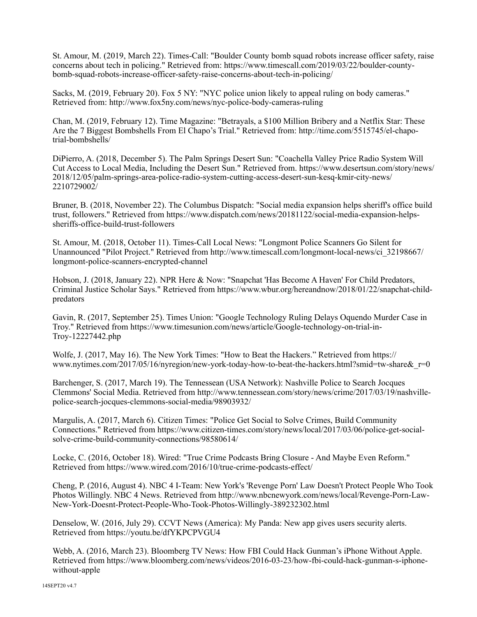St. Amour, M. (2019, March 22). Times-Call: "Boulder County bomb squad robots increase officer safety, raise concerns about tech in policing." Retrieved from: https://www.timescall.com/2019/03/22/boulder-countybomb-squad-robots-increase-officer-safety-raise-concerns-about-tech-in-policing/

Sacks, M. (2019, February 20). Fox 5 NY: "NYC police union likely to appeal ruling on body cameras." Retrieved from: http://www.fox5ny.com/news/nyc-police-body-cameras-ruling

Chan, M. (2019, February 12). Time Magazine: "Betrayals, a \$100 Million Bribery and a Netflix Star: These Are the 7 Biggest Bombshells From El Chapo's Trial." Retrieved from: http://time.com/5515745/el-chapotrial-bombshells/

DiPierro, A. (2018, December 5). The Palm Springs Desert Sun: "Coachella Valley Price Radio System Will Cut Access to Local Media, Including the Desert Sun." Retrieved from. https://www.desertsun.com/story/news/ 2018/12/05/palm-springs-area-police-radio-system-cutting-access-desert-sun-kesq-kmir-city-news/ 2210729002/

Bruner, B. (2018, November 22). The Columbus Dispatch: "Social media expansion helps sheriff's office build trust, followers." Retrieved from https://www.dispatch.com/news/20181122/social-media-expansion-helpssheriffs-office-build-trust-followers

St. Amour, M. (2018, October 11). Times-Call Local News: "Longmont Police Scanners Go Silent for Unannounced "Pilot Project." Retrieved from http://www.timescall.com/longmont-local-news/ci\_32198667/ longmont-police-scanners-encrypted-channel

Hobson, J. (2018, January 22). NPR Here & Now: "Snapchat 'Has Become A Haven' For Child Predators, Criminal Justice Scholar Says." Retrieved from https://www.wbur.org/hereandnow/2018/01/22/snapchat-childpredators

Gavin, R. (2017, September 25). Times Union: "Google Technology Ruling Delays Oquendo Murder Case in Troy." Retrieved from https://www.timesunion.com/news/article/Google-technology-on-trial-in-Troy-12227442.php

Wolfe, J. (2017, May 16). The New York Times: "How to Beat the Hackers." Retrieved from https:// www.nytimes.com/2017/05/16/nyregion/new-york-today-how-to-beat-the-hackers.html?smid=tw-share&r=0

Barchenger, S. (2017, March 19). The Tennessean (USA Network): Nashville Police to Search Jocques Clemmons' Social Media. Retrieved from http://www.tennessean.com/story/news/crime/2017/03/19/nashvillepolice-search-jocques-clemmons-social-media/98903932/

Margulis, A. (2017, March 6). Citizen Times: "Police Get Social to Solve Crimes, Build Community Connections." Retrieved from https://www.citizen-times.com/story/news/local/2017/03/06/police-get-socialsolve-crime-build-community-connections/98580614/

Locke, C. (2016, October 18). Wired: "True Crime Podcasts Bring Closure - And Maybe Even Reform." Retrieved from https://www.wired.com/2016/10/true-crime-podcasts-effect/

Cheng, P. (2016, August 4). NBC 4 I-Team: New York's 'Revenge Porn' Law Doesn't Protect People Who Took Photos Willingly. NBC 4 News. Retrieved from http://www.nbcnewyork.com/news/local/Revenge-Porn-Law-New-York-Doesnt-Protect-People-Who-Took-Photos-Willingly-389232302.html

Denselow, W. (2016, July 29). CCVT News (America): My Panda: New app gives users security alerts. Retrieved from https://youtu.be/dfYKPCPVGU4

Webb, A. (2016, March 23). Bloomberg TV News: How FBI Could Hack Gunman's iPhone Without Apple. Retrieved from https://www.bloomberg.com/news/videos/2016-03-23/how-fbi-could-hack-gunman-s-iphonewithout-apple